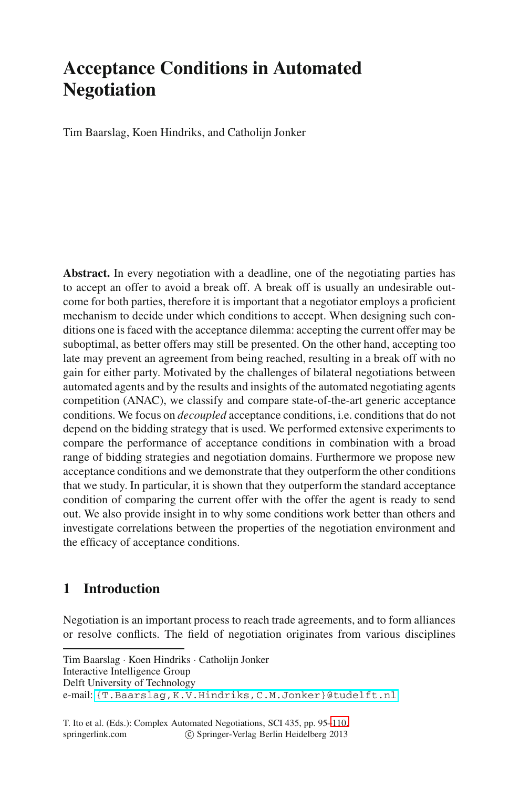# **Acceptance Conditions in Automated Negotiation**

Tim Baarslag, Koen Hindriks, and Catholijn Jonker

**Abstract.** In every negotiation with a deadline, one of the negotiating parties has to accept an offer to avoid a break off. A break off is usually an undesirable outcome for both parties, therefore it is important that a negotiator employs a proficient mechanism to decide under which conditions to accept. When designing such conditions one is faced with the acceptance dilemma: accepting the current offer may be suboptimal, as better offers may still be presented. On the other hand, accepting too late may prevent an agreement from being reached, resulting in a break off with no gain for either party. Motivated by the challenges of bilateral negotiations between automated agents and by the results and insights of the automated negotiating agents competition (ANAC), we classify and compare state-of-the-art generic acceptance conditions. We focus on *decoupled* acceptance conditions, i.e. conditions that do not depend on the bidding strategy that is used. We performed extensive experiments to compare the performance of acceptance conditions in combination with a broad range of bidding strategies and negotiation domains. Furthermore we propose new acceptance conditions and we demonstrate that they outperform the other conditions that we study. In particular, it is shown that they outperform the standard acceptance condition of comparing the current offer with the offer the agent is ready to send out. We also provide insight in to why some conditions work better than others and investigate correlations between the properties of the negotiation environment and the efficacy of acceptance conditions.

## **[1 Introduction]({T.Baarslag,K.V.Hindriks,C.M.Jonker}@tudelft.nl)**

Negotiation is an important process t[o](#page-16-0) [rea](#page-16-0)ch trade agreements, and to form alliances or resolve conflicts. The field of negotiation originates from various disciplines

T. Ito et al. (Eds.): Complex Automated Negotiations, SCI 435, pp. 95–110. springerlink.com c Springer-Verlag Berlin Heidelberg 2013

Tim Baarslag · Koen Hindriks · Catholijn Jonker Interactive Intelligence Group Delft University of Technology e-mail: {T.Baarslag,K.V.Hindriks,C.M.Jonker}@tudelft.nl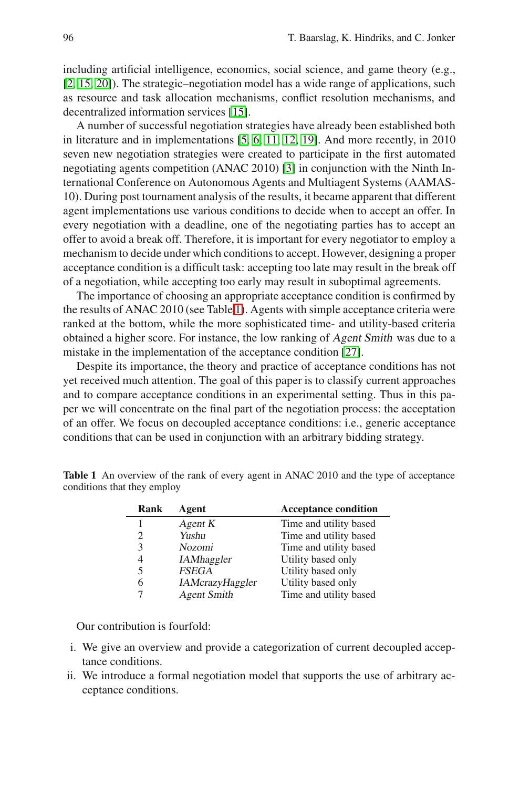including artificial intelligence, economics, social science, and game theory (e.g., [2, 15, 20]). The strategic–negotiation model has a wide range of applications, such as resource and task allocation mechanisms, conflict resolution mechanisms, and decentralized information services [15].

A number of successful negotiation strategies have already been established both in literature and in implementations [5, 6, 11, 12, 19]. And more recently, in 2010 seven new negotiation strategies were created to participate in the first automated negotiating agents competition (ANAC 2010) [3] in conjunction with the Ninth International Conference on Autonomous Agents and Multiagent Systems (AAMAS-10). During post tournament analysis of the results, it became apparent that different agent implementations use various conditions to decide when to accept an offer. In every negotiation with a deadline, one of the negotiating parties has to accept an offer to avoid a break off. Therefore, it is important for every negotiator to employ a mechanism to decide under which conditions to accept. However, designing a proper acceptance condition is a difficult task: accepting too late may result in the break off of a negotiation, while accepting too early may result in suboptimal agreements.

The importance of choosing an appropriate acceptance condition is confirmed by the results of ANAC 2010 (see Table 1). Agents with simple acceptance criteria were ranked at the bottom, while the more sophisticated time- and utility-based criteria obtained a higher score. For instance, the low ranking of Agent Smith was due to a mistake in the implementation of the acceptance condition [27].

Despite its importance, the theory and practice of acceptance conditions has not yet received much attention. The goal of this paper is to classify current approaches and to compare acceptance conditions in an experimental setting. Thus in this paper we will concentrate on the final part of the negotiation process: the acceptation of an offer. We focus on decoupled acceptance conditions: i.e., generic acceptance conditions that can be used in conjunction with an arbitrary bidding strategy.

| Rank | Agent                  | <b>Acceptance condition</b> |
|------|------------------------|-----------------------------|
|      | Agent K                | Time and utility based      |
| 2    | Yushu                  | Time and utility based      |
| 3    | Nozomi                 | Time and utility based      |
| 4    | <b>IAMhaggler</b>      | Utility based only          |
| 5    | <b>FSEGA</b>           | Utility based only          |
| 6    | <b>IAMcrazyHaggler</b> | Utility based only          |
|      | <b>Agent Smith</b>     | Time and utility based      |

**Table 1** An overview of the rank of every agent in ANAC 2010 and the type of acceptance conditions that they employ

Our contribution is fourfold:

- i. We give an overview and provide a categorization of current decoupled acceptance conditions.
- ii. We introduce a formal negotiation model that supports the use of arbitrary acceptance conditions.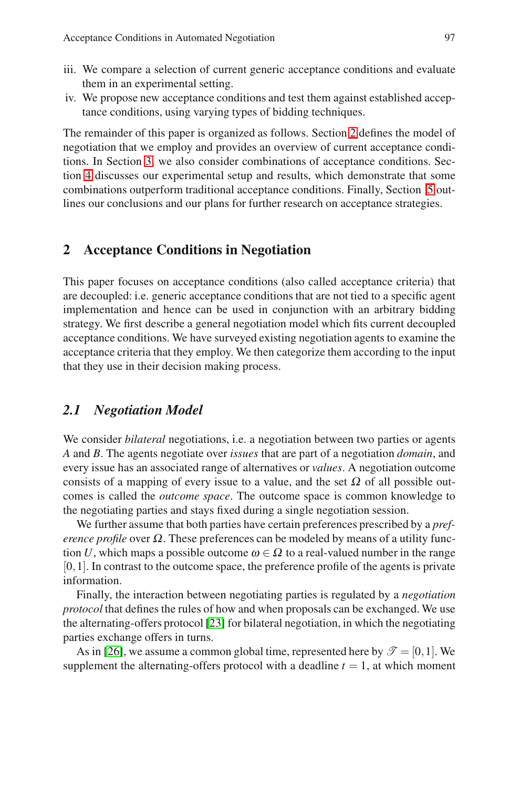- iii. We compare a selection of current generic acceptance conditions and evaluate them in an experimental setting.
- iv. We propose new acceptance conditions and test them against established acceptance conditions, using varying types of bidding techniques.

The remainder of this paper is organized as follows. Section 2 defines the model of negotiation that we employ and provides an overview of current acceptance conditions. In Section 3, we also consider combinations of acceptance conditions. Section 4 discusses our experimental setup and results, which demonstrate that some combinations outperform traditional acceptance conditions. Finally, Section 5 outlines our conclusions and our plans for further research on acceptance strategies.

# **2 Acceptance Conditions in Negotiation**

This paper focuses on acceptance conditions (also called acceptance criteria) that are decoupled: i.e. generic acceptance conditions that are not tied to a specific agent implementation and hence can be used in conjunction with an arbitrary bidding strategy. We first describe a general negotiation model which fits current decoupled acceptance conditions. We have surveyed existing negotiation agents to examine the acceptance criteria that they employ. We then categorize them according to the input that they use in their decision making process.

## *2.1 Negotiation Model*

We consider *bilateral* negotiations, i.e. a negotiation between two parties or agents *A* and *B*. The agents negotiate over *issues* that are part of a negotiation *domain*, and every issue has an associated range of alternatives or *values*. A negotiation outcome consists of a mapping of every issue to a value, and the set  $\Omega$  of all possible outcomes is called the *outcome space*. The outcome space is common knowledge to the negotiating parties and stays fixed during a single negotiation session.

We further assume that both parties have certain preferences prescribed by a *preference profile* over  $\Omega$ . These preferences can be modeled by means of a utility function *U*, which maps a possible outcome  $\omega \in \Omega$  to a real-valued number in the range  $[0,1]$ . In contrast to the outcome space, the preference profile of the agents is private information.

Finally, the interaction between negotiating parties is regulated by a *negotiation protocol* that defines the rules of how and when proposals can be exchanged. We use the alternating-offers protocol [23] for bilateral negotiation, in which the negotiating parties exchange offers in turns.

As in [26], we assume a common global time, represented here by  $\mathscr{T} = [0,1]$ . We supplement the alternating-offers protocol with a deadline  $t = 1$ , at which moment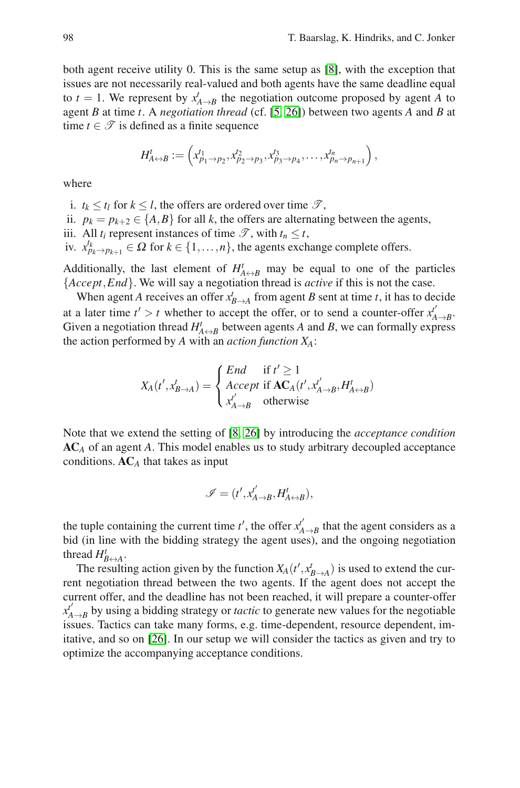both agent receive utility 0. This is the same setup as [8], with the exception that issues are not necessarily real-valued and both agents have the same deadline equal to  $t = 1$ . We represent by  $x_{A\rightarrow B}^t$  the negotiation outcome proposed by agent *A* to agent *B* at time *t*. A *negotiation thread* (cf. [5, 26]) between two agents *A* and *B* at time  $t \in \mathcal{T}$  is defined as a finite sequence

$$
H'_{A\leftrightarrow B}:=\left(x'_{p_1\to p_2},x'_{p_2\to p_3},x'_{p_3\to p_4},\ldots,x'_{p_n\to p_{n+1}}\right),
$$

where

i.  $t_k \leq t_l$  for  $k \leq l$ , the offers are ordered over time  $\mathcal{T}$ ,

ii.  $p_k = p_{k+2} \in \{A, B\}$  for all *k*, the offers are alternating between the agents,

iii. All  $t_i$  represent instances of time  $\mathscr{T}$ , with  $t_n \leq t$ ,

iv.  $x_{p_k \to p_{k+1}}^{t_k} \in \Omega$  for  $k \in \{1, ..., n\}$ , the agents exchange complete offers.

Additionally, the last element of  $H^t_{A\leftrightarrow B}$  may be equal to one of the particles {*Accept*,*End*}. We will say a negotiation thread is *active* if this is not the case.

When agent *A* receives an offer  $x_{B\to A}^t$  from agent *B* sent at time *t*, it has to decide at a later time  $t' > t$  whether to accept the offer, or to send a counter-offer  $x'^{f}_{A \rightarrow B}$ . Given a negotiation thread  $H^t_{A \leftrightarrow B}$  between agents *A* and *B*, we can formally express the action performed by *A* with an *action function*  $X_A$ :

$$
X_A(t', x'_{B \to A}) = \begin{cases} End & \text{if } t' \ge 1 \\ Accept & \text{if } AC_A(t', x'_{A \to B}, H'_{A \to B}) \\ x'_{A \to B} & otherwise \end{cases}
$$

Note that we extend the setting of [8, 26] by introducing the *acceptance condition* **AC***<sup>A</sup>* of an agent *A*. This model enables us to study arbitrary decoupled acceptance conditions. **AC***<sup>A</sup>* that takes as input

$$
\mathscr{I}=(t',x_{A\rightarrow B}^{t'},H_{A\leftrightarrow B}^{t}),
$$

the tuple containing the current time  $t'$ , the offer  $x_{A\to B}^{t'}$  that the agent considers as a bid (in line with the bidding strategy the agent uses), and the ongoing negotiation thread  $H_{B\leftrightarrow A}^t$ .

The resulting action given by the function  $X_A(t', x'_{B\to A})$  is used to extend the current negotiation thread between the two agents. If the agent does not accept the current offer, and the deadline has not been reached, it will prepare a counter-offer  $x_{A\rightarrow B}^{t'}$  by using a bidding strategy or *tactic* to generate new values for the negotiable issues. Tactics can take many forms, e.g. time-dependent, resource dependent, imitative, and so on [26]. In our setup we will consider the tactics as given and try to optimize the accompanying acceptance conditions.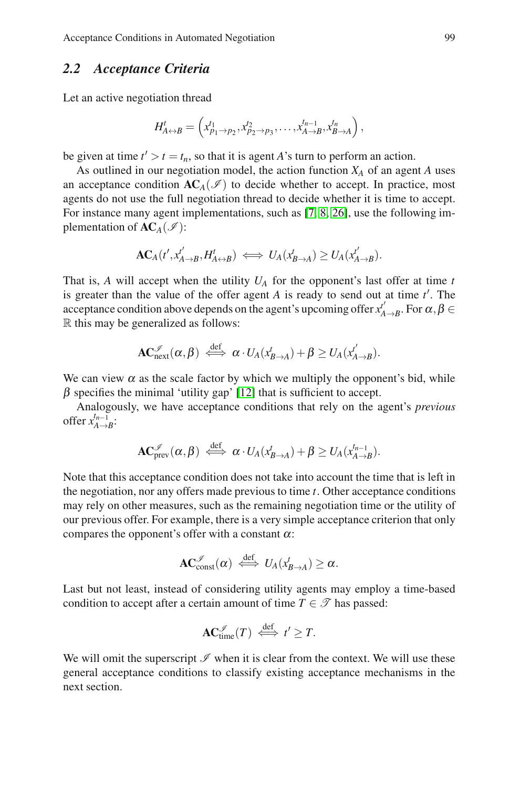Acceptance Conditions in Automated Negotiation 99

# *2.2 Acceptance Criteria*

Let an active negotiation thread

$$
H_{A\leftrightarrow B}^t=\left(x_{p_1\to p_2}^{t_1},x_{p_2\to p_3}^{t_2},\ldots,x_{A\to B}^{t_{n-1}},x_{B\to A}^{t_n}\right),\,
$$

be given at time  $t' > t = t_n$ , so that it is agent *A*'s turn to perform an action.

As outlined in our negotiation model, the action function *XA* of an agent *A* uses an acceptance condition  $AC_A(\mathcal{I})$  to decide whether to accept. In practice, most agents do not use the full negotiation thread to decide whether it is time to accept. For instance many agent implementations, such as [7, 8, 26], use the following implementation of  $AC_A(\mathcal{I})$ :

$$
\mathbf{AC}_A(t',x'_{A\to B},H'_{A\leftrightarrow B}) \iff U_A(x'_{B\to A}) \geq U_A(x'_{A\to B}).
$$

That is,  $A$  will accept when the utility  $U_A$  for the opponent's last offer at time  $t$ is greater than the value of the offer agent  $A$  is ready to send out at time  $t'$ . The acceptance condition above depends on the agent's upcoming offer  $x'_{A\to B}$ . For  $\alpha, \beta \in$ R this may be generalized as follows:

$$
\mathbf{AC}^{\mathscr{I}}_{\rm next}(\alpha, \beta) \stackrel{\mathrm{def}}{\iff} \alpha \cdot U_A(x^t_{B \to A}) + \beta \geq U_A(x^t_{A \to B}).
$$

We can view  $\alpha$  as the scale factor by which we multiply the opponent's bid, while  $\beta$  specifies the minimal 'utility gap' [12] that is sufficient to accept.

Analogously, we have acceptance conditions that rely on the agent's *previous* offer  $x_{A\to B}^{t_{n-1}}$ :

$$
\mathbf{AC}^{\mathscr{I}}_{\mathrm{prev}}(\alpha, \beta) \stackrel{\mathrm{def}}{\iff} \alpha \cdot U_A(\mathbf{x}^t_{B \to A}) + \beta \geq U_A(\mathbf{x}^{t_{n-1}}_{A \to B}).
$$

Note that this acceptance condition does not take into account the time that is left in the negotiation, nor any offers made previous to time *t*. Other acceptance conditions may rely on other measures, such as the remaining negotiation time or the utility of our previous offer. For example, there is a very simple acceptance criterion that only compares the opponent's offer with a constant  $\alpha$ :

$$
\mathbf{AC}_{\mathrm{const}}^{\mathscr{I}}(\alpha) \iff U_A(x^t_{B\to A}) \geq \alpha.
$$

Last but not least, instead of considering utility agents may employ a time-based condition to accept after a certain amount of time  $T \in \mathcal{T}$  has passed:

$$
\mathbf{AC}_{\mathrm{time}}^{\mathscr{I}}(T) \iff t' \geq T.
$$

We will omit the superscript  $\mathcal I$  when it is clear from the context. We will use these general acceptance conditions to classify existing acceptance mechanisms in the next section.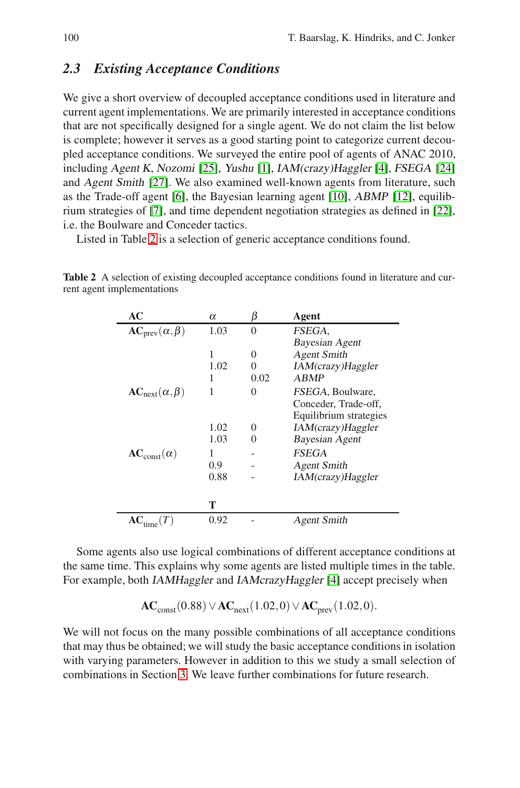## *2.3 Existing Acceptance Conditions*

We give a short overview of decoupled acceptance conditions used in literature and current agent implementations. We are primarily interested in acceptance conditions that are not specifically designed for a single agent. We do not claim the list below is complete; however it serves as a good starting point to categorize current decoupled acceptance conditions. We surveyed the entire pool of agents of ANAC 2010, including Agent <sup>K</sup>, Nozomi [25], Yushu [1], IAM(crazy)Haggler [4], FSEGA [24] and Agent Smith [27]. We also examined well-known agents from literature, such as the Trade-off agent [6], the Bayesian learning agent [10], ABMP [12], equilibrium strategies of [7], and time dependent negotiation strategies as defined in [22], i.e. the Boulware and Conceder tactics.

Listed in Table 2 is a selection of generic acceptance conditions found.

**Table 2** A selection of existing decoupled acceptance conditions found in literature and current agent implementations

| AC                         | α    | ľ3                | Agent                  |
|----------------------------|------|-------------------|------------------------|
| $AC_{prev}(\alpha, \beta)$ | 1.03 | 0                 | FSEGA.                 |
|                            |      |                   | Bayesian Agent         |
|                            | 1    | $\theta$          | <b>Agent Smith</b>     |
|                            | 1.02 | $\mathbf{\Omega}$ | IAM(crazy)Haggler      |
|                            | 1    | 0.02              | <b>ABMP</b>            |
| $AC_{next}(\alpha, \beta)$ | 1    | 0                 | FSEGA, Boulware,       |
|                            |      |                   | Conceder, Trade-off,   |
|                            |      |                   | Equilibrium strategies |
|                            | 1.02 | $\mathbf{\Omega}$ | IAM(crazy)Haggler      |
|                            | 1.03 |                   | Bayesian Agent         |
| $AC_{const}(\alpha)$       | 1    |                   | <b>FSEGA</b>           |
|                            | 0.9  |                   | <b>Agent Smith</b>     |
|                            | 0.88 |                   | IAM(crazy)Haggler      |
|                            |      |                   |                        |
|                            | т    |                   |                        |
|                            | 0.92 |                   | Agent Smith            |

Some agents also use logical combinations of different acceptance conditions at the same time. This explains why some agents are listed multiple times in the table. For example, both IAMHaggler and IAMcrazyHaggler [4] accept precisely when

**AC**<sub>const</sub>(0.88) ∨ **AC**<sub>next</sub>(1.02,0) ∨ **AC**<sub>prev</sub>(1.02,0).

We will not focus on the many possible combinations of all acceptance conditions that may thus be obtained; we will study the basic acceptance conditions in isolation with varying parameters. However in addition to this we study a small selection of combinations in Section 3. We leave further combinations for future research.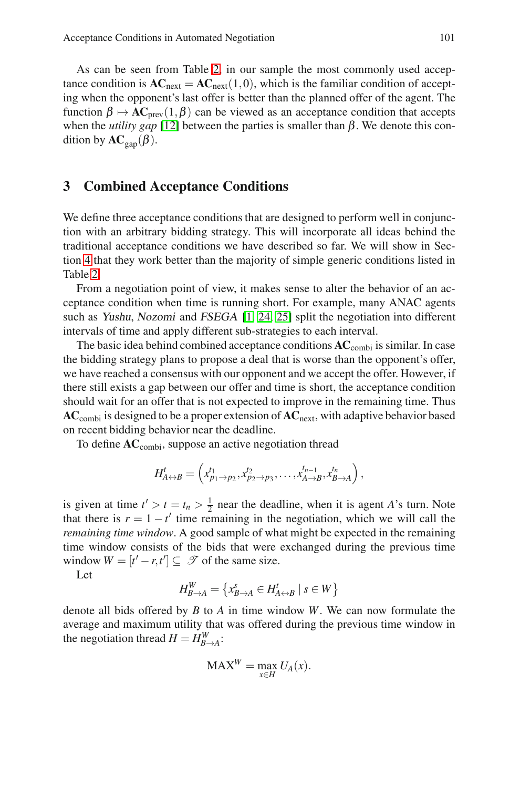As can be seen from Table 2, in our sample the most commonly used acceptance condition is  $AC<sub>next</sub> = AC<sub>next</sub>(1,0)$ , which is the familiar condition of accepting when the opponent's last offer is better than the planned offer of the agent. The function  $\beta \mapsto AC_{prev}(1,\beta)$  can be viewed as an acceptance condition that accepts when the *utility gap* [12] between the parties is smaller than  $β$ . We denote this condition by  $AC_{\text{gap}}(\beta)$ .

### **3 Combined Acceptance Conditions**

We define three acceptance conditions that are designed to perform well in conjunction with an arbitrary bidding strategy. This will incorporate all ideas behind the traditional acceptance conditions we have described so far. We will show in Section 4 that they work better than the majority of simple generic conditions listed in Table 2.

From a negotiation point of view, it makes sense to alter the behavior of an acceptance condition when time is running short. For example, many ANAC agents such as Yushu, Nozomi and FSEGA [1, 24, 25] split the negotiation into different intervals of time and apply different sub-strategies to each interval.

The basic idea behind combined acceptance conditions **AC**combi is similar. In case the bidding strategy plans to propose a deal that is worse than the opponent's offer, we have reached a consensus with our opponent and we accept the offer. However, if there still exists a gap between our offer and time is short, the acceptance condition should wait for an offer that is not expected to improve in the remaining time. Thus **AC**combi is designed to be a proper extension of **AC**next, with adaptive behavior based on recent bidding behavior near the deadline.

To define  $AC_{\text{combi}}$ , suppose an active negotiation thread

$$
H_{A\leftrightarrow B}^t=\left(x_{p_1\to p_2}^{t_1},x_{p_2\to p_3}^{t_2},\ldots,x_{A\to B}^{t_{n-1}},x_{B\to A}^{t_n}\right),
$$

is given at time  $t' > t = t_n > \frac{1}{2}$  near the deadline, when it is agent *A*'s turn. Note that there is  $r = 1 - t'$  time remaining in the negotiation, which we will call the *remaining time window*. A good sample of what might be expected in the remaining time window consists of the bids that were exchanged during the previous time window  $W = [t'-r,t'] \subseteq \mathcal{T}$  of the same size.

Let

$$
H_{B\to A}^W=\left\{x_{B\to A}^s\in H_{A\leftrightarrow B}^t\mid s\in W\right\}
$$

denote all bids offered by *B* to *A* in time window *W*. We can now formulate the average and maximum utility that was offered during the previous time window in the negotiation thread  $H = H_{B\to A}^W$ :

$$
\text{MAX}^W = \max_{x \in H} U_A(x).
$$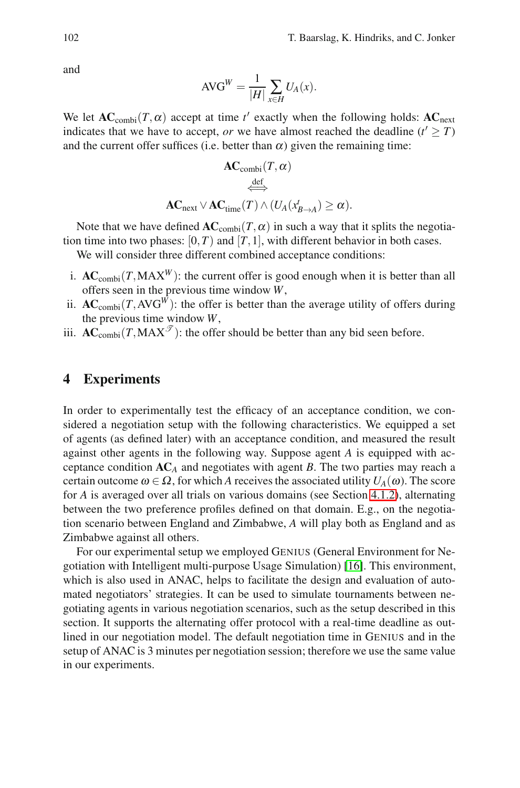and

$$
AVG^{W} = \frac{1}{|H|} \sum_{x \in H} U_A(x).
$$

We let  $AC_{\text{combi}}(T, \alpha)$  accept at time  $t'$  exactly when the following holds:  $AC_{\text{next}}$ indicates that we have to accept, *or* we have almost reached the deadline  $(t' \geq T)$ and the current offer suffices (i.e. better than  $\alpha$ ) given the remaining time:

$$
\begin{aligned} \mathbf{AC}_{\mathrm{combi}}(T,\alpha) \\ \stackrel{\text{def}}{\iff} \\ \mathbf{AC}_{\mathrm{next}} &\vee \mathbf{AC}_{\mathrm{time}}(T) \wedge (U_A(x^t_{B\to A}) \geq \alpha). \end{aligned}
$$

Note that we have defined  $AC_{\text{combi}}(T, \alpha)$  in such a way that it splits the negotiation time into two phases:  $[0, T)$  and  $[T, 1]$ , with different behavior in both cases. We will consider three different combined acceptance conditions:

- i.  $AC_{\text{combi}}(T, MAX^W)$ : the current offer is good enough when it is better than all offers seen in the previous time window *W*,
- ii.  $AC_{\text{combi}}(T, AVG^{W})$ : the offer is better than the average utility of offers during the previous time window *W*,
- iii.  $AC_{\text{combi}}(T, MAX^{\mathcal{T}})$ : the offer should be better than any bid seen before.

### **4 Experiments**

In order to experimentally test the efficacy of an acceptance condition, we considered a negotiation setup with the following characteristics. We equipped a set of agents (as defined later) with an acceptance condition, and measured the result against other agents in the following way. Suppose agent *A* is equipped with acceptance condition **AC***<sup>A</sup>* and negotiates with agent *B*. The two parties may reach a certain outcome  $\omega \in \Omega$ , for which *A* receives the associated utility  $U_A(\omega)$ . The score for *A* is averaged over all trials on various domains (see Section 4.1.2), alternating between the two preference profiles defined on that domain. E.g., on the negotiation scenario between England and Zimbabwe, *A* will play both as England and as Zimbabwe against all others.

For our experimental setup we employed GENIUS (General Environment for Negotiation with Intelligent multi-purpose Usage Simulation) [16]. This environment, which is also used in ANAC, helps to facilitate the design and evaluation of automated negotiators' strategies. It can be used to simulate tournaments between negotiating agents in various negotiation scenarios, such as the setup described in this section. It supports the alternating offer protocol with a real-time deadline as outlined in our negotiation model. The default negotiation time in GENIUS and in the setup of ANAC is 3 minutes per negotiation session; therefore we use the same value in our experiments.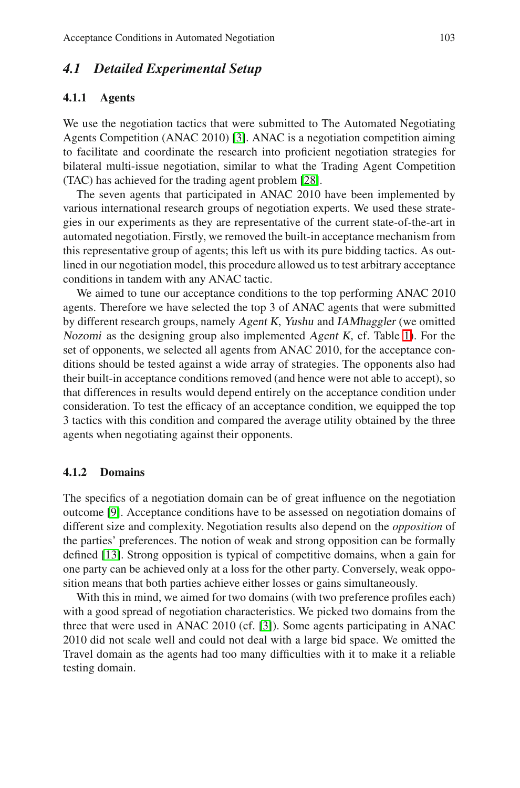# *4.1 Detailed Experimental Setup*

#### **4.1.1 Agents**

We use the negotiation tactics that were submitted to The Automated Negotiating Agents Competition (ANAC 2010) [3]. ANAC is a negotiation competition aiming to facilitate and coordinate the research into proficient negotiation strategies for bilateral multi-issue negotiation, similar to what the Trading Agent Competition (TAC) has achieved for the trading agent problem [28].

The seven agents that participated in ANAC 2010 have been implemented by various international research groups of negotiation experts. We used these strategies in our experiments as they are representative of the current state-of-the-art in automated negotiation. Firstly, we removed the built-in acceptance mechanism from this representative group of agents; this left us with its pure bidding tactics. As outlined in our negotiation model, this procedure allowed us to test arbitrary acceptance conditions in tandem with any ANAC tactic.

We aimed to tune our acceptance conditions to the top performing ANAC 2010 agents. Therefore we have selected the top 3 of ANAC agents that were submitted by different research groups, namely Agent <sup>K</sup>, Yushu and IAMhaggler (we omitted Nozomi as the designing group also implemented Agent <sup>K</sup>, cf. Table 1). For the set of opponents, we selected all agents from ANAC 2010, for the acceptance conditions should be tested against a wide array of strategies. The opponents also had their built-in acceptance conditions removed (and hence were not able to accept), so that differences in results would depend entirely on the acceptance condition under consideration. To test the efficacy of an acceptance condition, we equipped the top 3 tactics with this condition and compared the average utility obtained by the three agents when negotiating against their opponents.

#### **4.1.2 Domains**

The specifics of a negotiation domain can be of great influence on the negotiation outcome [9]. Acceptance conditions have to be assessed on negotiation domains of different size and complexity. Negotiation results also depend on the *opposition* of the parties' preferences. The notion of weak and strong opposition can be formally defined [13]. Strong opposition is typical of competitive domains, when a gain for one party can be achieved only at a loss for the other party. Conversely, weak opposition means that both parties achieve either losses or gains simultaneously.

With this in mind, we aimed for two domains (with two preference profiles each) with a good spread of negotiation characteristics. We picked two domains from the three that were used in ANAC 2010 (cf. [3]). Some agents participating in ANAC 2010 did not scale well and could not deal with a large bid space. We omitted the Travel domain as the agents had too many difficulties with it to make it a reliable testing domain.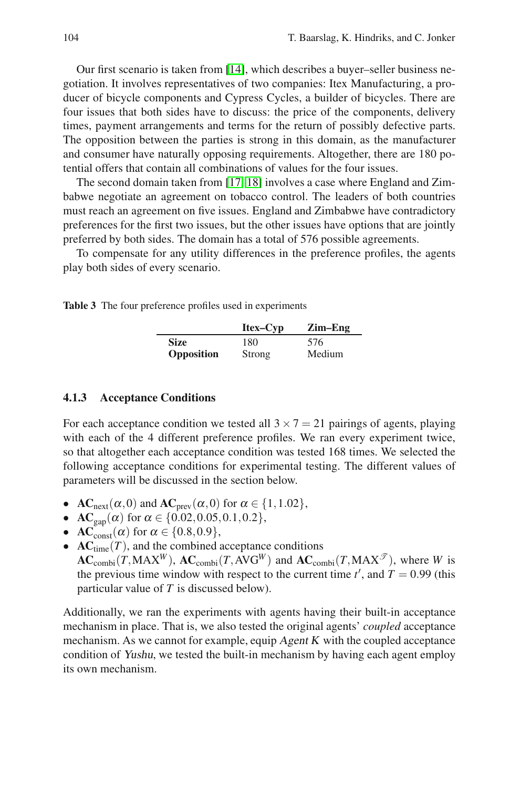Our first scenario is taken from [14], which describes a buyer–seller business negotiation. It involves representatives of two companies: Itex Manufacturing, a producer of bicycle components and Cypress Cycles, a builder of bicycles. There are four issues that both sides have to discuss: the price of the components, delivery times, payment arrangements and terms for the return of possibly defective parts. The opposition between the parties is strong in this domain, as the manufacturer and consumer have naturally opposing requirements. Altogether, there are 180 potential offers that contain all combinations of values for the four issues.

The second domain taken from [17, 18] involves a case where England and Zimbabwe negotiate an agreement on tobacco control. The leaders of both countries must reach an agreement on five issues. England and Zimbabwe have contradictory preferences for the first two issues, but the other issues have options that are jointly preferred by both sides. The domain has a total of 576 possible agreements.

To compensate for any utility differences in the preference profiles, the agents play both sides of every scenario.

**Table 3** The four preference profiles used in experiments

|                   | Itex-Cyp | $Zim-Eng$ |
|-------------------|----------|-----------|
| <b>Size</b>       | 180      | 576       |
| <b>Opposition</b> | Strong   | Medium    |

#### **4.1.3 Acceptance Conditions**

For each acceptance condition we tested all  $3 \times 7 = 21$  pairings of agents, playing with each of the 4 different preference profiles. We ran every experiment twice, so that altogether each acceptance condition was tested 168 times. We selected the following acceptance conditions for experimental testing. The different values of parameters will be discussed in the section below.

- $AC<sub>next</sub>(\alpha, 0)$  and  $AC<sub>prev</sub>(\alpha, 0)$  for  $\alpha \in \{1, 1.02\}$ ,
- $\mathbf{AC}_{\text{gan}}(\alpha)$  for  $\alpha \in \{0.02, 0.05, 0.1, 0.2\},$
- $AC_{const}^{\dagger}(\alpha)$  for  $\alpha \in \{0.8, 0.9\}$ ,<br>•  $AC_{time}(T)$ , and the combined a
- $AC<sub>time</sub>(T)$ , and the combined acceptance conditions  $AC_{\text{combi}}(T, MAX^W)$ ,  $AC_{\text{combi}}(T, AVG^W)$  and  $AC_{\text{combi}}(T, MAX^{\mathcal{T}})$ , where *W* is the previous time window with respect to the current time  $t'$ , and  $T = 0.99$  (this particular value of *T* is discussed below).

Additionally, we ran the experiments with agents having their built-in acceptance mechanism in place. That is, we also tested the original agents' *coupled* acceptance mechanism. As we cannot for example, equip Agent <sup>K</sup> with the coupled acceptance condition of Yushu, we tested the built-in mechanism by having each agent employ its own mechanism.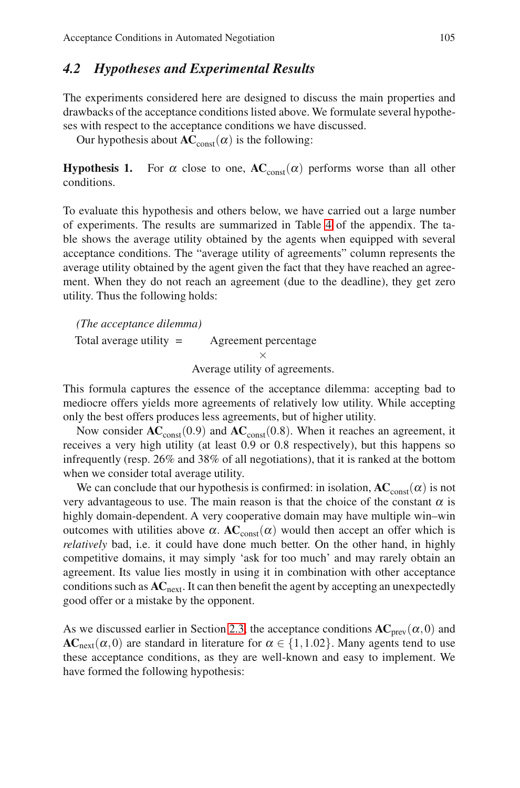Acceptance Conditions in Automated Negotiation 105

## *4.2 Hypotheses and Experimental Results*

The experiments considered here are designed to discuss the main properties and drawbacks of the acceptance conditions listed above. We formulate several hypotheses with respect to the acceptance conditions we have discussed.

Our hypothesis about  $AC<sub>const</sub>(\alpha)$  is the following:

**Hypothesis 1.** For  $\alpha$  close to one,  $AC_{const}(\alpha)$  performs worse than all other conditions.

To evaluate this hypothesis and others below, we have carried out a large number of experiments. The results are summarized in Table 4 of the appendix. The table shows the average utility obtained by the agents when equipped with several acceptance conditions. The "average utility of agreements" column represents the average utility obtained by the agent given the fact that they have reached an agreement. When they do not reach an agreement (due to the deadline), they get zero utility. Thus the following holds:

*(The acceptance dilemma)* Total average utility = Agreement percentage ×

Average utility of agreements.

This formula captures the essence of the acceptance dilemma: accepting bad to mediocre offers yields more agreements of relatively low utility. While accepting only the best offers produces less agreements, but of higher utility.

Now consider  $AC_{const}(0.9)$  and  $AC_{const}(0.8)$ . When it reaches an agreement, it receives a very high utility (at least 0.9 or 0.8 respectively), but this happens so infrequently (resp. 26% and 38% of all negotiations), that it is ranked at the bottom when we consider total average utility.

We can conclude that our hypothesis is confirmed: in isolation,  $AC_{const}(\alpha)$  is not very advantageous to use. The main reason is that the choice of the constant  $\alpha$  is highly domain-dependent. A very cooperative domain may have multiple win–win outcomes with utilities above α.  $AC<sub>const</sub>(α)$  would then accept an offer which is *relatively* bad, i.e. it could have done much better. On the other hand, in highly competitive domains, it may simply 'ask for too much' and may rarely obtain an agreement. Its value lies mostly in using it in combination with other acceptance conditions such as **AC**next. It can then benefit the agent by accepting an unexpectedly good offer or a mistake by the opponent.

As we discussed earlier in Section 2.3, the acceptance conditions  $AC<sub>prev</sub>(\alpha,0)$  and  $AC<sub>next</sub>(\alpha, 0)$  are standard in literature for  $\alpha \in \{1, 1.02\}$ . Many agents tend to use these acceptance conditions, as they are well-known and easy to implement. We have formed the following hypothesis: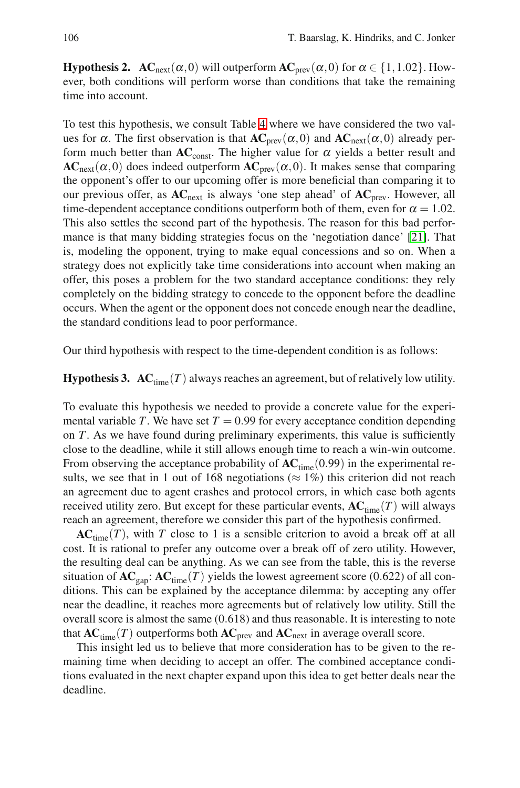**Hypothesis 2.**  $AC_{next}(\alpha,0)$  will outperform  $AC_{prev}(\alpha,0)$  for  $\alpha \in \{1,1.02\}$ . However, both conditions will perform worse than conditions that take the remaining time into account.

To test this hypothesis, we consult Table 4 where we have considered the two values for  $\alpha$ . The first observation is that  $AC_{prev}(\alpha,0)$  and  $AC_{next}(\alpha,0)$  already perform much better than  $AC<sub>const</sub>$ . The higher value for  $\alpha$  yields a better result and  $AC<sub>next</sub>(\alpha, 0)$  does indeed outperform  $AC<sub>prev</sub>(\alpha, 0)$ . It makes sense that comparing the opponent's offer to our upcoming offer is more beneficial than comparing it to our previous offer, as **AC**next is always 'one step ahead' of **AC**prev. However, all time-dependent acceptance conditions outperform both of them, even for  $\alpha = 1.02$ . This also settles the second part of the hypothesis. The reason for this bad performance is that many bidding strategies focus on the 'negotiation dance' [21]. That is, modeling the opponent, trying to make equal concessions and so on. When a strategy does not explicitly take time considerations into account when making an offer, this poses a problem for the two standard acceptance conditions: they rely completely on the bidding strategy to concede to the opponent before the deadline occurs. When the agent or the opponent does not concede enough near the deadline, the standard conditions lead to poor performance.

Our third hypothesis with respect to the time-dependent condition is as follows:

**Hypothesis 3.**  $AC_{time}(T)$  always reaches an agreement, but of relatively low utility.

To evaluate this hypothesis we needed to provide a concrete value for the experimental variable *T*. We have set  $T = 0.99$  for every acceptance condition depending on *T*. As we have found during preliminary experiments, this value is sufficiently close to the deadline, while it still allows enough time to reach a win-win outcome. From observing the acceptance probability of  $AC_{time}(0.99)$  in the experimental results, we see that in 1 out of 168 negotiations ( $\approx$  1%) this criterion did not reach an agreement due to agent crashes and protocol errors, in which case both agents received utility zero. But except for these particular events,  $AC_{time}(T)$  will always reach an agreement, therefore we consider this part of the hypothesis confirmed.

 $AC<sub>time</sub>(T)$ , with *T* close to 1 is a sensible criterion to avoid a break off at all cost. It is rational to prefer any outcome over a break off of zero utility. However, the resulting deal can be anything. As we can see from the table, this is the reverse situation of  $AC_{\text{gap}}$ :  $AC_{\text{time}}(T)$  yields the lowest agreement score (0.622) of all conditions. This can be explained by the acceptance dilemma: by accepting any offer near the deadline, it reaches more agreements but of relatively low utility. Still the overall score is almost the same (0.618) and thus reasonable. It is interesting to note that  $AC_{time}(T)$  outperforms both  $AC_{prev}$  and  $AC_{next}$  in average overall score.

This insight led us to believe that more consideration has to be given to the remaining time when deciding to accept an offer. The combined acceptance conditions evaluated in the next chapter expand upon this idea to get better deals near the deadline.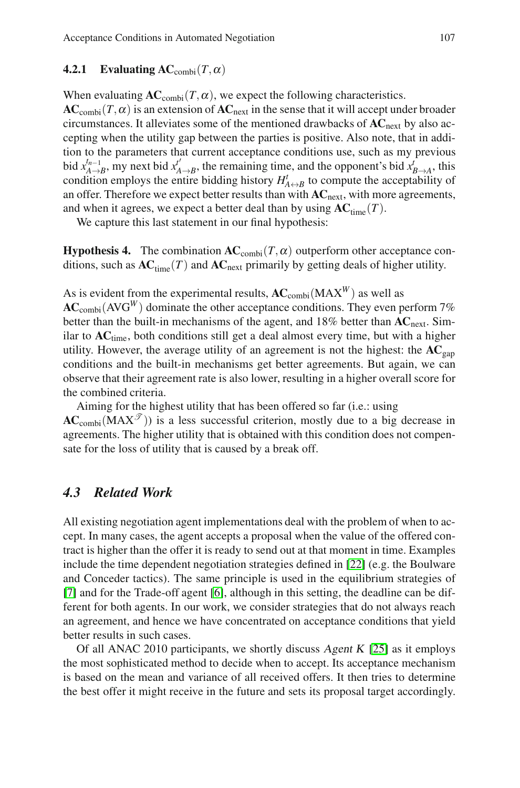## **4.2.1** Evaluating  $AC_{\text{combi}}(T, \alpha)$

When evaluating  $AC_{\text{combi}}(T, \alpha)$ , we expect the following characteristics.

 $AC_{\text{combi}}(T, \alpha)$  is an extension of  $AC_{\text{next}}$  in the sense that it will accept under broader circumstances. It alleviates some of the mentioned drawbacks of **AC**next by also accepting when the utility gap between the parties is positive. Also note, that in addition to the parameters that current acceptance conditions use, such as my previous bid  $x_{A\to B}^{t_{n-1}}$ , my next bid  $x_{A\to B}^{t'}$ , the remaining time, and the opponent's bid  $x_{B\to A}^{t}$ , this condition employs the entire bidding history  $H^t_{A \leftrightarrow B}$  to compute the acceptability of an offer. Therefore we expect better results than with **AC**next, with more agreements, and when it agrees, we expect a better deal than by using  $AC_{time}(T)$ .

We capture this last statement in our final hypothesis:

**Hypothesis 4.** The combination  $AC_{\text{combi}}(T, \alpha)$  outperform other acceptance conditions, such as  $AC_{time}(T)$  and  $AC_{next}$  primarily by getting deals of higher utility.

As is evident from the experimental results,  $AC_{\text{combi}}(MAX^W)$  as well as  $AC_{\text{combi}}(AVG^{W})$  dominate the other acceptance conditions. They even perform 7% better than the built-in mechanisms of the agent, and 18% better than **AC**next. Similar to **AC**time, both conditions still get a deal almost every time, but with a higher utility. However, the average utility of an agreement is not the highest: the  $AC_{gap}$ conditions and the built-in mechanisms get better agreements. But again, we can observe that their agreement rate is also lower, resulting in a higher overall score for the combined criteria.

Aiming for the highest utility that has been offered so far (i.e.: using  $AC_{\text{combi}}(MAX^{\mathcal{T}})$  is a less successful criterion, mostly due to a big decrease in agreements. The higher utility that is obtained with this condition does not compensate for the loss of utility that is caused by a break off.

## *4.3 Related Work*

All existing negotiation agent implementations deal with the problem of when to accept. In many cases, the agent accepts a proposal when the value of the offered contract is higher than the offer it is ready to send out at that moment in time. Examples include the time dependent negotiation strategies defined in [22] (e.g. the Boulware and Conceder tactics). The same principle is used in the equilibrium strategies of [7] and for the Trade-off agent [6], although in this setting, the deadline can be different for both agents. In our work, we consider strategies that do not always reach an agreement, and hence we have concentrated on acceptance conditions that yield better results in such cases.

Of all ANAC 2010 participants, we shortly discuss Agent K  $[25]$  as it employs the most sophisticated method to decide when to accept. Its acceptance mechanism is based on the mean and variance of all received offers. It then tries to determine the best offer it might receive in the future and sets its proposal target accordingly.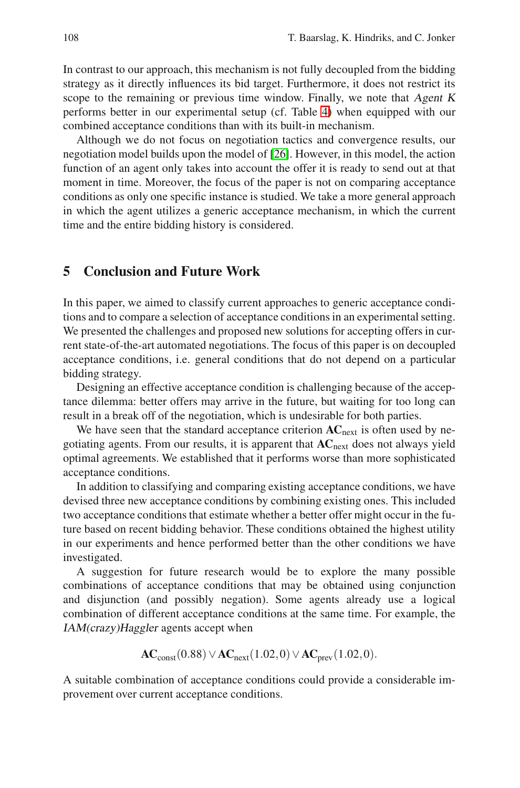In contrast to our approach, this mechanism is not fully decoupled from the bidding strategy as it directly influences its bid target. Furthermore, it does not restrict its scope to the remaining or previous time window. Finally, we note that Agent <sup>K</sup> performs better in our experimental setup (cf. Table 4) when equipped with our combined acceptance conditions than with its built-in mechanism.

Although we do not focus on negotiation tactics and convergence results, our negotiation model builds upon the model of [26]. However, in this model, the action function of an agent only takes into account the offer it is ready to send out at that moment in time. Moreover, the focus of the paper is not on comparing acceptance conditions as only one specific instance is studied. We take a more general approach in which the agent utilizes a generic acceptance mechanism, in which the current time and the entire bidding history is considered.

# **5 Conclusion and Future Work**

In this paper, we aimed to classify current approaches to generic acceptance conditions and to compare a selection of acceptance conditions in an experimental setting. We presented the challenges and proposed new solutions for accepting offers in current state-of-the-art automated negotiations. The focus of this paper is on decoupled acceptance conditions, i.e. general conditions that do not depend on a particular bidding strategy.

Designing an effective acceptance condition is challenging because of the acceptance dilemma: better offers may arrive in the future, but waiting for too long can result in a break off of the negotiation, which is undesirable for both parties.

We have seen that the standard acceptance criterion  $AC<sub>next</sub>$  is often used by negotiating agents. From our results, it is apparent that **AC**next does not always yield optimal agreements. We established that it performs worse than more sophisticated acceptance conditions.

In addition to classifying and comparing existing acceptance conditions, we have devised three new acceptance conditions by combining existing ones. This included two acceptance conditions that estimate whether a better offer might occur in the future based on recent bidding behavior. These conditions obtained the highest utility in our experiments and hence performed better than the other conditions we have investigated.

A suggestion for future research would be to explore the many possible combinations of acceptance conditions that may be obtained using conjunction and disjunction (and possibly negation). Some agents already use a logical combination of different acceptance conditions at the same time. For example, the IAM(crazy)Haggler agents accept when

**AC**<sub>const</sub>(0.88)∨**AC**<sub>next</sub>(1.02,0)∨**AC**<sub>next</sub>(1.02,0).

A suitable combination of acceptance conditions could provide a considerable improvement over current acceptance conditions.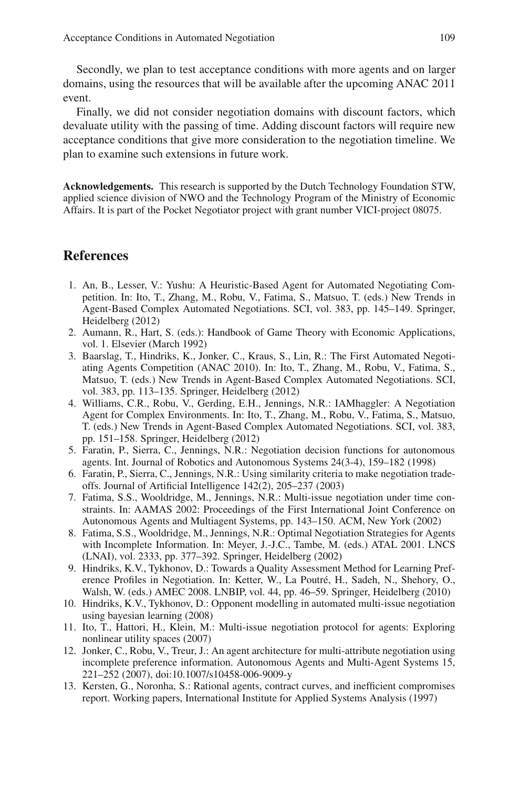Secondly, we plan to test acceptance conditions with more agents and on larger domains, using the resources that will be available after the upcoming ANAC 2011 event.

Finally, we did not consider negotiation domains with discount factors, which devaluate utility with the passing of time. Adding discount factors will require new acceptance conditions that give more consideration to the negotiation timeline. We plan to examine such extensions in future work.

**Acknowledgements.** This research is supported by the Dutch Technology Foundation STW, applied science division of NWO and the Technology Program of the Ministry of Economic Affairs. It is part of the Pocket Negotiator project with grant number VICI-project 08075.

## **References**

- 1. An, B., Lesser, V.: Yushu: A Heuristic-Based Agent for Automated Negotiating Competition. In: Ito, T., Zhang, M., Robu, V., Fatima, S., Matsuo, T. (eds.) New Trends in Agent-Based Complex Automated Negotiations. SCI, vol. 383, pp. 145–149. Springer, Heidelberg (2012)
- 2. Aumann, R., Hart, S. (eds.): Handbook of Game Theory with Economic Applications, vol. 1. Elsevier (March 1992)
- 3. Baarslag, T., Hindriks, K., Jonker, C., Kraus, S., Lin, R.: The First Automated Negotiating Agents Competition (ANAC 2010). In: Ito, T., Zhang, M., Robu, V., Fatima, S., Matsuo, T. (eds.) New Trends in Agent-Based Complex Automated Negotiations. SCI, vol. 383, pp. 113–135. Springer, Heidelberg (2012)
- 4. Williams, C.R., Robu, V., Gerding, E.H., Jennings, N.R.: IAMhaggler: A Negotiation Agent for Complex Environments. In: Ito, T., Zhang, M., Robu, V., Fatima, S., Matsuo, T. (eds.) New Trends in Agent-Based Complex Automated Negotiations. SCI, vol. 383, pp. 151–158. Springer, Heidelberg (2012)
- 5. Faratin, P., Sierra, C., Jennings, N.R.: Negotiation decision functions for autonomous agents. Int. Journal of Robotics and Autonomous Systems 24(3-4), 159–182 (1998)
- 6. Faratin, P., Sierra, C., Jennings, N.R.: Using similarity criteria to make negotiation tradeoffs. Journal of Artificial Intelligence 142(2), 205–237 (2003)
- 7. Fatima, S.S., Wooldridge, M., Jennings, N.R.: Multi-issue negotiation under time constraints. In: AAMAS 2002: Proceedings of the First International Joint Conference on Autonomous Agents and Multiagent Systems, pp. 143–150. ACM, New York (2002)
- 8. Fatima, S.S., Wooldridge, M., Jennings, N.R.: Optimal Negotiation Strategies for Agents with Incomplete Information. In: Meyer, J.-J.C., Tambe, M. (eds.) ATAL 2001. LNCS (LNAI), vol. 2333, pp. 377–392. Springer, Heidelberg (2002)
- 9. Hindriks, K.V., Tykhonov, D.: Towards a Quality Assessment Method for Learning Preference Profiles in Negotiation. In: Ketter, W., La Poutré, H., Sadeh, N., Shehory, O., Walsh, W. (eds.) AMEC 2008. LNBIP, vol. 44, pp. 46–59. Springer, Heidelberg (2010)
- 10. Hindriks, K.V., Tykhonov, D.: Opponent modelling in automated multi-issue negotiation using bayesian learning (2008)
- 11. Ito, T., Hattori, H., Klein, M.: Multi-issue negotiation protocol for agents: Exploring nonlinear utility spaces (2007)
- 12. Jonker, C., Robu, V., Treur, J.: An agent architecture for multi-attribute negotiation using incomplete preference information. Autonomous Agents and Multi-Agent Systems 15, 221–252 (2007), doi:10.1007/s10458-006-9009-y
- 13. Kersten, G., Noronha, S.: Rational agents, contract curves, and inefficient compromises report. Working papers, International Institute for Applied Systems Analysis (1997)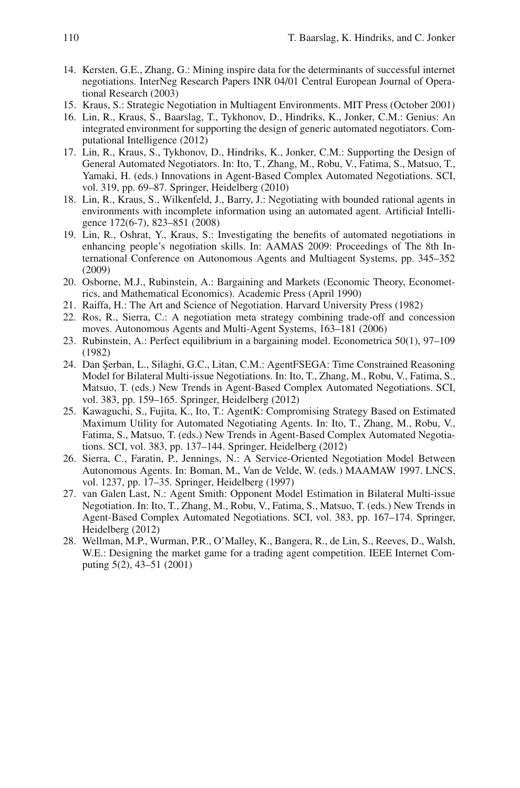- 14. Kersten, G.E., Zhang, G.: Mining inspire data for the determinants of successful internet negotiations. InterNeg Research Papers INR 04/01 Central European Journal of Operational Research (2003)
- 15. Kraus, S.: Strategic Negotiation in Multiagent Environments. MIT Press (October 2001)
- 16. Lin, R., Kraus, S., Baarslag, T., Tykhonov, D., Hindriks, K., Jonker, C.M.: Genius: An integrated environment for supporting the design of generic automated negotiators. Computational Intelligence (2012)
- 17. Lin, R., Kraus, S., Tykhonov, D., Hindriks, K., Jonker, C.M.: Supporting the Design of General Automated Negotiators. In: Ito, T., Zhang, M., Robu, V., Fatima, S., Matsuo, T., Yamaki, H. (eds.) Innovations in Agent-Based Complex Automated Negotiations. SCI, vol. 319, pp. 69–87. Springer, Heidelberg (2010)
- 18. Lin, R., Kraus, S., Wilkenfeld, J., Barry, J.: Negotiating with bounded rational agents in environments with incomplete information using an automated agent. Artificial Intelligence 172(6-7), 823–851 (2008)
- 19. Lin, R., Oshrat, Y., Kraus, S.: Investigating the benefits of automated negotiations in enhancing people's negotiation skills. In: AAMAS 2009: Proceedings of The 8th International Conference on Autonomous Agents and Multiagent Systems, pp. 345–352 (2009)
- 20. Osborne, M.J., Rubinstein, A.: Bargaining and Markets (Economic Theory, Econometrics, and Mathematical Economics). Academic Press (April 1990)
- 21. Raiffa, H.: The Art and Science of Negotiation. Harvard University Press (1982)
- 22. Ros, R., Sierra, C.: A negotiation meta strategy combining trade-off and concession moves. Autonomous Agents and Multi-Agent Systems, 163–181 (2006)
- 23. Rubinstein, A.: Perfect equilibrium in a bargaining model. Econometrica 50(1), 97–109 (1982)
- 24. Dan Serban, L., Silaghi, G.C., Litan, C.M.: AgentFSEGA: Time Constrained Reasoning Model for Bilateral Multi-issue Negotiations. In: Ito, T., Zhang, M., Robu, V., Fatima, S., Matsuo, T. (eds.) New Trends in Agent-Based Complex Automated Negotiations. SCI, vol. 383, pp. 159–165. Springer, Heidelberg (2012)
- 25. Kawaguchi, S., Fujita, K., Ito, T.: AgentK: Compromising Strategy Based on Estimated Maximum Utility for Automated Negotiating Agents. In: Ito, T., Zhang, M., Robu, V., Fatima, S., Matsuo, T. (eds.) New Trends in Agent-Based Complex Automated Negotiations. SCI, vol. 383, pp. 137–144. Springer, Heidelberg (2012)
- 26. Sierra, C., Faratin, P., Jennings, N.: A Service-Oriented Negotiation Model Between Autonomous Agents. In: Boman, M., Van de Velde, W. (eds.) MAAMAW 1997. LNCS, vol. 1237, pp. 17–35. Springer, Heidelberg (1997)
- 27. van Galen Last, N.: Agent Smith: Opponent Model Estimation in Bilateral Multi-issue Negotiation. In: Ito, T., Zhang, M., Robu, V., Fatima, S., Matsuo, T. (eds.) New Trends in Agent-Based Complex Automated Negotiations. SCI, vol. 383, pp. 167–174. Springer, Heidelberg (2012)
- 28. Wellman, M.P., Wurman, P.R., O'Malley, K., Bangera, R., de Lin, S., Reeves, D., Walsh, W.E.: Designing the market game for a trading agent competition. IEEE Internet Computing 5(2), 43–51 (2001)